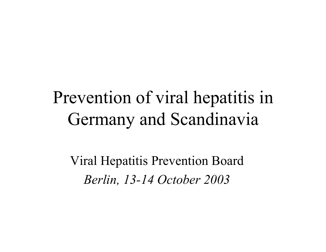### Prevention of viral hepatitis in Germany and Scandinavia

Viral Hepatitis Prevention Board *Berlin, 13-14 October 2003*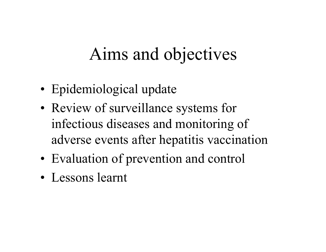### Aims and objectives

- Epidemiological update
- Review of surveillance systems for infectious diseases and monitoring of adverse events after hepatitis vaccination
- Evaluation of prevention and control
- Lessons learnt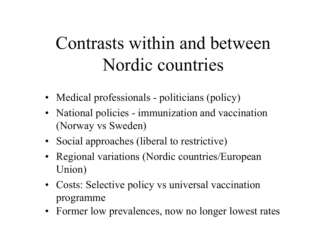## Contrasts within and between Nordic countries

- Medical professionals politicians (policy)
- National policies immunization and vaccination (Norway vs Sweden)
- Social approaches (liberal to restrictive)
- Regional variations (Nordic countries/European Union)
- Costs: Selective policy vs universal vaccination programme
- Former low prevalences, now no longer lowest rates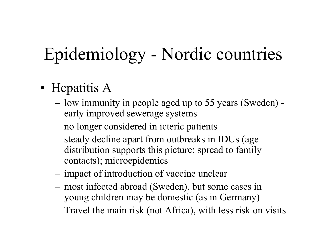# Epidemiology - Nordic countries

- Hepatitis A
	- – low immunity in people aged up to 55 years (Sweden) early improved sewerage systems
	- –no longer considered in icteric patients
	- – steady decline apart from outbreaks in IDUs (age distribution supports this picture; spread to family contacts); microepidemics
	- –impact of introduction of vaccine unclear
	- – most infected abroad (Sweden), but some cases in young children may be domestic (as in Germany)
	- –Travel the main risk (not Africa), with less risk on visits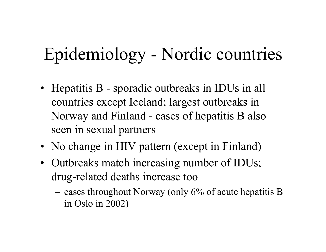### Epidemiology - Nordic countries

- Hepatitis B sporadic outbreaks in IDUs in all countries except Iceland; largest outbreaks in Norway and Finland - cases of hepatitis B also seen in sexual partners
- No change in HIV pattern (except in Finland)
- Outbreaks match increasing number of IDUs; drug-related deaths increase too
	- – cases throughout Norway (only 6% of acute hepatitis B in Oslo in 2002)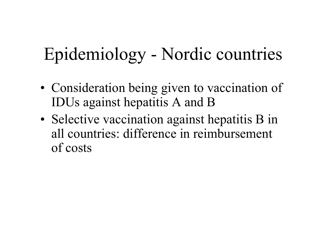## Epidemiology - Nordic countries

- Consideration being given to vaccination of IDUs against hepatitis A and B
- Selective vaccination against hepatitis B in all countries: difference in reimbursement of costs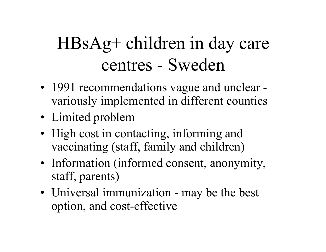## HBsAg+ children in day care centres - Sweden

- 1991 recommendations vague and unclear variously implemented in different counties
- Limited problem
- High cost in contacting, informing and vaccinating (staff, family and children)
- Information (informed consent, anonymity, staff, parents)
- Universal immunization may be the best option, and cost-effective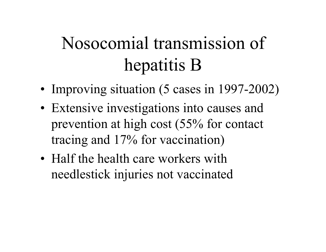# Nosocomial transmission of hepatitis B

- Improving situation (5 cases in 1997-2002)
- Extensive investigations into causes and prevention at high cost (55% for contact tracing and 17% for vaccination)
- Half the health care workers with needlestick injuries not vaccinated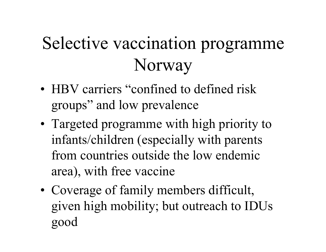# Selective vaccination programme Norway

- HBV carriers "confined to defined risk groups" and low prevalence
- Targeted programme with high priority to infants/children (especially with parents from countries outside the low endemic area), with free vaccine
- Coverage of family members difficult, given high mobility; but outreach to IDUs good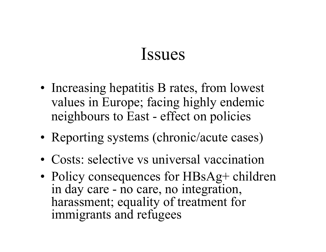- Increasing hepatitis B rates, from lowest values in Europe; facing highly endemic neighbours to East - effect on policies
- Reporting systems (chronic/acute cases)
- Costs: selective vs universal vaccination
- Policy consequences for HBsAg+ children in day care - no care, no integration, harassment; equality of treatment for immigrants and refugees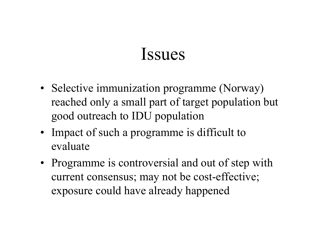- Selective immunization programme (Norway) reached only a small part of target population but good outreach to IDU population
- Impact of such a programme is difficult to evaluate
- Programme is controversial and out of step with current consensus; may not be cost-effective; exposure could have already happened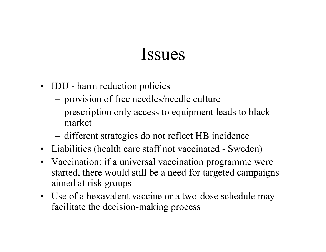- IDU harm reduction policies
	- –provision of free needles/needle culture
	- – prescription only access to equipment leads to black market
	- –different strategies do not reflect HB incidence
- Liabilities (health care staff not vaccinated Sweden)
- Vaccination: if a universal vaccination programme were started, there would still be a need for targeted campaigns aimed at risk groups
- Use of a hexavalent vaccine or a two-dose schedule may facilitate the decision-making process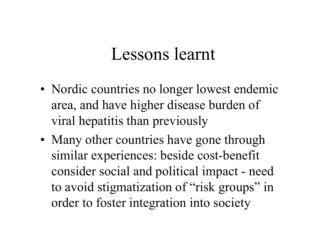- Nordic countries no longer lowest endemic area, and have higher disease burden of viral hepatitis than previously
- Many other countries have gone through similar experiences: beside cost-benefit consider social and political impact - need to avoid stigmatization of "risk groups" in order to foster integration into society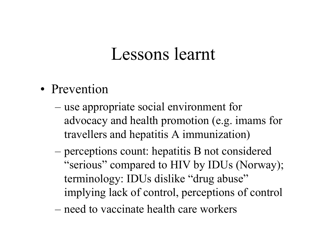- Prevention
	- use appropriate social environment for advocacy and health promotion (e.g. imams for travellers and hepatitis A immunization)
	- perceptions count: hepatitis B not considered "serious" compared to HIV by IDUs (Norway); terminology: IDUs dislike "drug abuse" implying lack of control, perceptions of control
	- need to vaccinate health care workers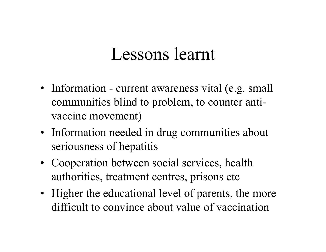- Information current awareness vital (e.g. small communities blind to problem, to counter antivaccine movement)
- Information needed in drug communities about seriousness of hepatitis
- Cooperation between social services, health authorities, treatment centres, prisons etc
- Higher the educational level of parents, the more difficult to convince about value of vaccination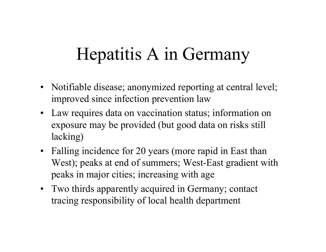### Hepatitis A in Germany

- Notifiable disease; anonymized reporting at central level; improved since infection prevention law
- Law requires data on vaccination status; information on exposure may be provided (but good data on risks still lacking)
- Falling incidence for 20 years (more rapid in East than West); peaks at end of summers; West-East gradient with peaks in major cities; increasing with age
- Two thirds apparently acquired in Germany; contact tracing responsibility of local health department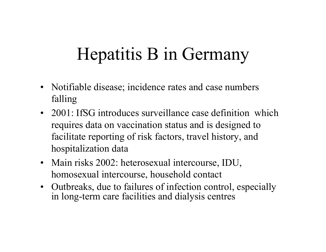## Hepatitis B in Germany

- Notifiable disease; incidence rates and case numbers falling
- 2001: IfSG introduces surveillance case definition which requires data on vaccination status and is designed to facilitate reporting of risk factors, travel history, and hospitalization data
- Main risks 2002: heterosexual intercourse, IDU, homosexual intercourse, household contact
- Outbreaks, due to failures of infection control, especially in long-term care facilities and dialysis centres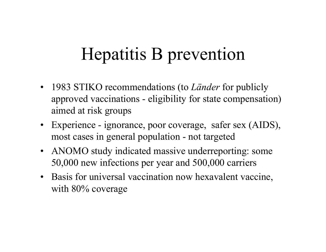### Hepatitis B prevention

- 1983 STIKO recommendations (to *Länder* for publicly approved vaccinations - eligibility for state compensation) aimed at risk groups
- Experience ignorance, poor coverage, safer sex (AIDS), most cases in general population - not targeted
- ANOMO study indicated massive underreporting: some 50,000 new infections per year and 500,000 carriers
- Basis for universal vaccination now hexavalent vaccine, with 80% coverage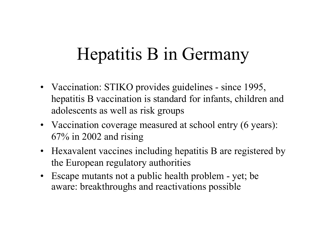### Hepatitis B in Germany

- Vaccination: STIKO provides guidelines since 1995, hepatitis B vaccination is standard for infants, children and adolescents as well as risk groups
- Vaccination coverage measured at school entry (6 years): 67% in 2002 and rising
- Hexavalent vaccines including hepatitis B are registered by the European regulatory authorities
- Escape mutants not a public health problem yet; be aware: breakthroughs and reactivations possible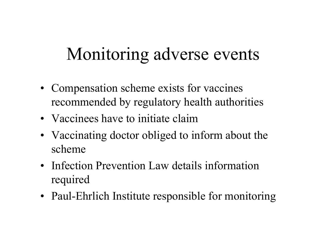### Monitoring adverse events

- Compensation scheme exists for vaccines recommended by regulatory health authorities
- Vaccinees have to initiate claim
- Vaccinating doctor obliged to inform about the scheme
- Infection Prevention Law details information required
- Paul-Ehrlich Institute responsible for monitoring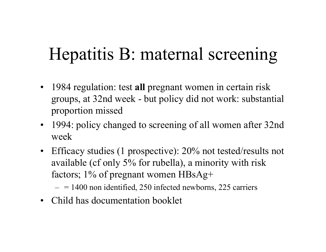### Hepatitis B: maternal screening

- $\bullet$  1984 regulation: test **all** pregnant women in certain risk groups, at 32nd week - but policy did not work: substantial proportion missed
- $\bullet$  1994: policy changed to screening of all women after 32nd week
- Efficacy studies (1 prospective): 20% not tested/results not available (cf only 5% for rubella), a minority with risk factors; 1% of pregnant women HBsAg+
	- $-$  = 1400 non identified, 250 infected newborns, 225 carriers
- Child has documentation booklet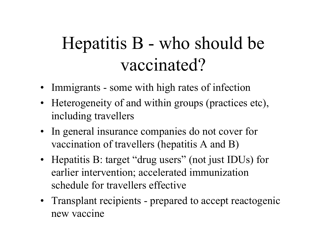## Hepatitis B - who should be vaccinated?

- Immigrants some with high rates of infection
- Heterogeneity of and within groups (practices etc), including travellers
- In general insurance companies do not cover for vaccination of travellers (hepatitis A and B)
- Hepatitis B: target "drug users" (not just IDUs) for earlier intervention; accelerated immunization schedule for travellers effective
- Transplant recipients prepared to accept reactogenic new vaccine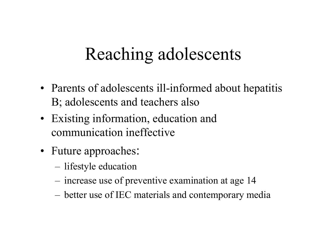## Reaching adolescents

- Parents of adolescents ill-informed about hepatitis B; adolescents and teachers also
- Existing information, education and communication ineffective
- Future approaches:
	- –lifestyle education
	- –increase use of preventive examination at age 14
	- –better use of IEC materials and contemporary media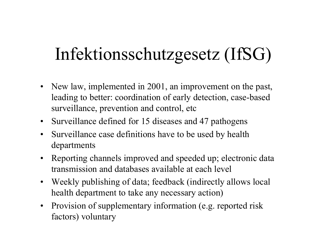## Infektionsschutzgesetz (IfSG)

- New law, implemented in 2001, an improvement on the past, leading to better: coordination of early detection, case-based surveillance, prevention and control, etc
- Surveillance defined for 15 diseases and 47 pathogens
- • Surveillance case definitions have to be used by health departments
- $\bullet$  Reporting channels improved and speeded up; electronic data transmission and databases available at each level
- $\bullet$  Weekly publishing of data; feedback (indirectly allows local health department to take any necessary action)
- $\bullet$  Provision of supplementary information (e.g. reported risk factors) voluntary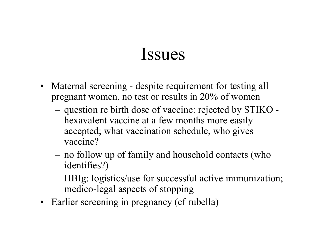- Maternal screening despite requirement for testing all pregnant women, no test or results in 20% of women
	- – question re birth dose of vaccine: rejected by STIKO hexavalent vaccine at a few months more easily accepted; what vaccination schedule, who gives vaccine?
	- – no follow up of family and household contacts (who identifies?)
	- – HBIg: logistics/use for successful active immunization; medico-legal aspects of stopping
- Earlier screening in pregnancy (cf rubella)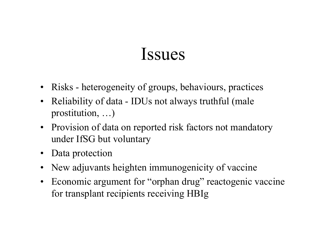- Risks heterogeneity of groups, behaviours, practices
- Reliability of data IDUs not always truthful (male prostitution, …)
- $\bullet$  Provision of data on reported risk factors not mandatory under IfSG but voluntary
- Data protection
- New adjuvants heighten immunogenicity of vaccine
- Economic argument for "orphan drug" reactogenic vaccine for transplant recipients receiving HBIg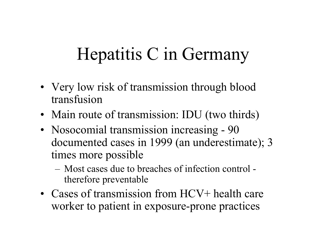## Hepatitis C in Germany

- Very low risk of transmission through blood transfusion
- Main route of transmission: IDU (two thirds)
- Nosocomial transmission increasing 90 documented cases in 1999 (an underestimate); 3 times more possible
	- Most cases due to breaches of infection control therefore preventable
- Cases of transmission from HCV+ health care worker to patient in exposure-prone practices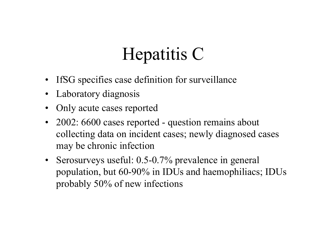# Hepatitis C

- $\bullet$ IfSG specifies case definition for surveillance
- Laboratory diagnosis
- •Only acute cases reported
- 2002: 6600 cases reported question remains about collecting data on incident cases; newly diagnosed cases may be chronic infection
- Serosurveys useful: 0.5-0.7% prevalence in general population, but 60-90% in IDUs and haemophiliacs; IDUs probably 50% of new infections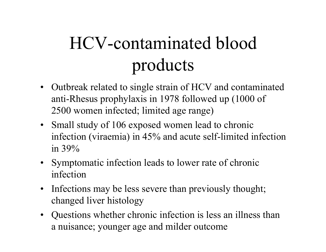# HCV-contaminated blood products

- Outbreak related to single strain of HCV and contaminated anti-Rhesus prophylaxis in 1978 followed up (1000 of 2500 women infected; limited age range)
- Small study of 106 exposed women lead to chronic infection (viraemia) in 45% and acute self-limited infection in 39%
- Symptomatic infection leads to lower rate of chronic infection
- Infections may be less severe than previously thought; changed liver histology
- Questions whether chronic infection is less an illness than a nuisance; younger age and milder outcome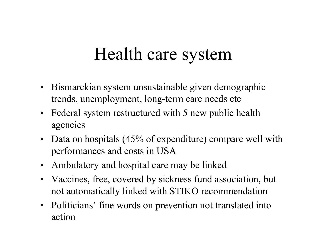#### Health care system

- $\bullet$  Bismarckian system unsustainable given demographic trends, unemployment, long-term care needs etc
- Federal system restructured with 5 new public health agencies
- Data on hospitals (45% of expenditure) compare well with performances and costs in USA
- Ambulatory and hospital care may be linked
- Vaccines, free, covered by sickness fund association, but not automatically linked with STIKO recommendation
- Politicians' fine words on prevention not translated into action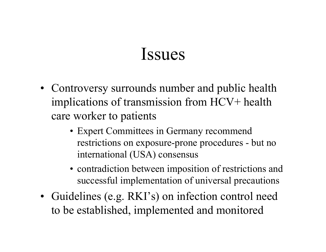- Controversy surrounds number and public health implications of transmission from HCV+ health care worker to patients
	- Expert Committees in Germany recommend restrictions on exposure-prone procedures - but no international (USA) consensus
	- contradiction between imposition of restrictions and successful implementation of universal precautions
- Guidelines (e.g. RKI's) on infection control need to be established, implemented and monitored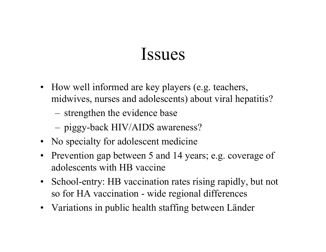- How well informed are key players (e.g. teachers, midwives, nurses and adolescents) about viral hepatitis?
	- –strengthen the evidence base
	- –piggy-back HIV/AIDS awareness?
- No specialty for adolescent medicine
- Prevention gap between 5 and 14 years; e.g. coverage of adolescents with HB vaccine
- School-entry: HB vaccination rates rising rapidly, but not so for HA vaccination - wide regional differences
- Variations in public health staffing between Länder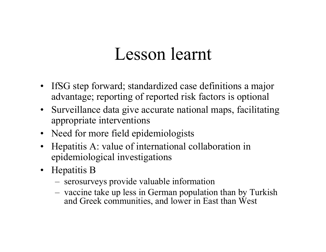- IfSG step forward; standardized case definitions a major advantage; reporting of reported risk factors is optional
- Surveillance data give accurate national maps, facilitating appropriate interventions
- Need for more field epidemiologists
- Hepatitis A: value of international collaboration in epidemiological investigations
- Hepatitis B
	- serosurveys provide valuable information
	- vaccine take up less in German population than by Turkish and Greek communities, and lower in East than West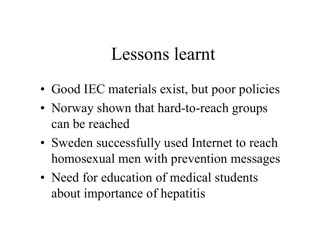- Good IEC materials exist, but poor policies
- Norway shown that hard-to-reach groups can be reached
- Sweden successfully used Internet to reach homosexual men with prevention messages
- Need for education of medical students about importance of hepatitis